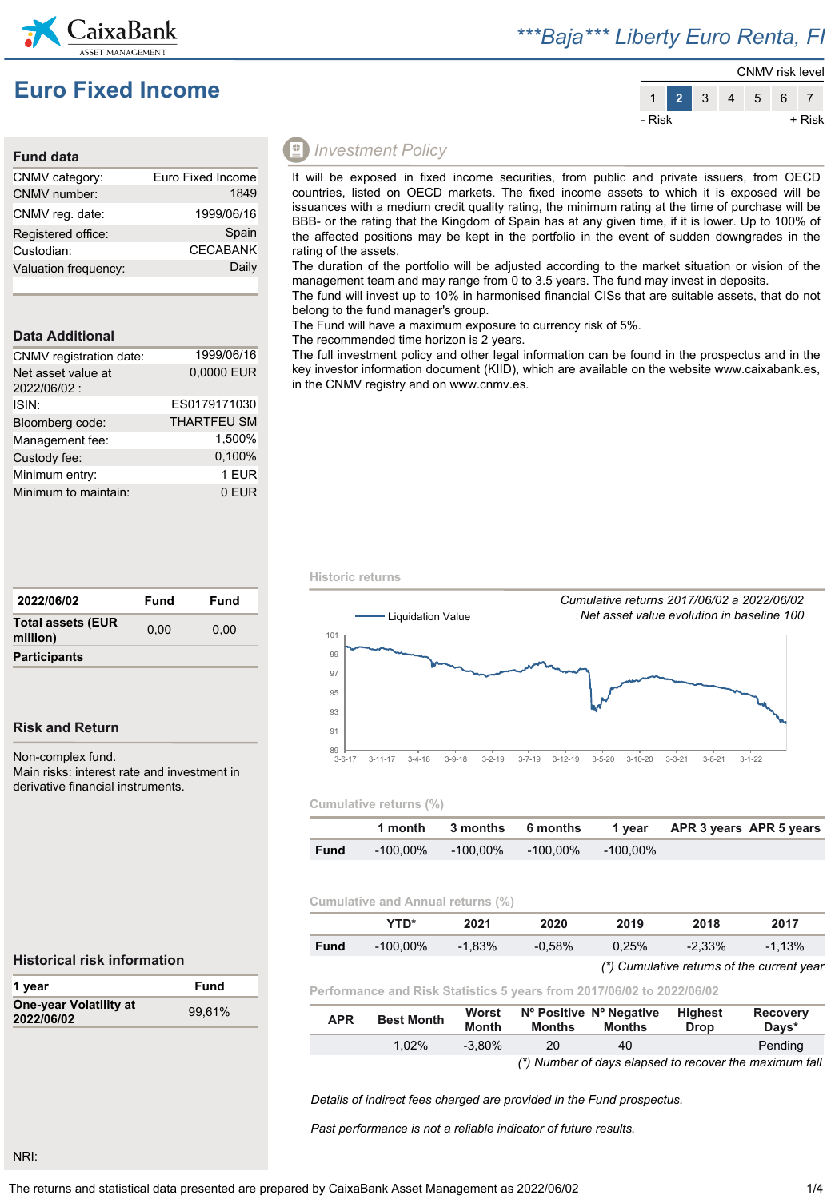

## *\*\*\*Baja\*\*\* Liberty Euro Renta, FI*





### **Fund data**

| CNMV category:       | Euro Fixed Income |
|----------------------|-------------------|
| CNMV number:         | 1849              |
| CNMV reg. date:      | 1999/06/16        |
| Registered office:   | Spain             |
| Custodian:           | <b>CECABANK</b>   |
| Valuation frequency: | Daily             |
|                      |                   |

### **Data Additional**

| CNMV registration date:           | 1999/06/16         |
|-----------------------------------|--------------------|
| Net asset value at<br>2022/06/02: | 0,0000 EUR         |
| ISIN:                             | ES0179171030       |
| Bloomberg code:                   | <b>THARTFEU SM</b> |
| Management fee:                   | 1.500%             |
| Custody fee:                      | 0,100%             |
| Minimum entry:                    | 1 EUR              |
| Minimum to maintain:              | 0 EUR              |

| 2022/06/02                           | Fund | Fund |
|--------------------------------------|------|------|
| <b>Total assets (EUR</b><br>million) | 0.00 | 0.00 |
| <b>Participants</b>                  |      |      |

### **Risk and Return**

Non-complex fund.

Main risks: interest rate and investment in derivative financial instruments.

### *Investment Policy*

It will be exposed in fixed income securities, from public and private issuers, from OECD countries, listed on OECD markets. The fixed income assets to which it is exposed will be issuances with a medium credit quality rating, the minimum rating at the time of purchase will be BBB- or the rating that the Kingdom of Spain has at any given time, if it is lower. Up to 100% of the affected positions may be kept in the portfolio in the event of sudden downgrades in the rating of the assets.

The duration of the portfolio will be adjusted according to the market situation or vision of the management team and may range from 0 to 3.5 years. The fund may invest in deposits.

The fund will invest up to 10% in harmonised financial CISs that are suitable assets, that do not belong to the fund manager's group.

The Fund will have a maximum exposure to currency risk of 5%.

The recommended time horizon is 2 years.

The full investment policy and other legal information can be found in the prospectus and in the key investor information document (KIID), which are available on the website www.caixabank.es, in the CNMV registry and on www.cnmv.es.

**Historic returns**



### **Cumulative returns (%)**

|             |          |          |          |          | 1 month 3 months 6 months 1 year APR 3 years APR 5 years |  |
|-------------|----------|----------|----------|----------|----------------------------------------------------------|--|
| <b>Fund</b> | -100.00% | -100.00% | -100.00% | -100.00% |                                                          |  |

### **Cumulative and Annual returns (%)**

|             | YTD*     | 2021      | 2020      | 2019  | 2018      | 2017      |
|-------------|----------|-----------|-----------|-------|-----------|-----------|
| <b>Fund</b> | -100.00% | $-1.83\%$ | $-0.58\%$ | 0.25% | $-2.33\%$ | $-1.13\%$ |

### *(\*) Cumulative returns of the current year*

**Performance and Risk Statistics 5 years from 2017/06/02 to 2022/06/02**

| <b>APR</b> | <b>Best Month</b> | Worst<br><b>Month</b> | Months | Nº Positive Nº Negative<br>Months | Highest<br>Drop | <b>Recovery</b><br>Davs*                               |
|------------|-------------------|-----------------------|--------|-----------------------------------|-----------------|--------------------------------------------------------|
|            | $1.02\%$          | $-3.80\%$             | 20     | 40                                |                 | Pending                                                |
|            |                   |                       |        |                                   |                 | (*) Number of days elapsed to recover the maximum fall |

*Details of indirect fees charged are provided in the Fund prospectus.*

*Past performance is not a reliable indicator of future results.*

### **Historical risk information**

| 1 year                               | Fund   |
|--------------------------------------|--------|
| One-year Volatility at<br>2022/06/02 | 99.61% |

NRI: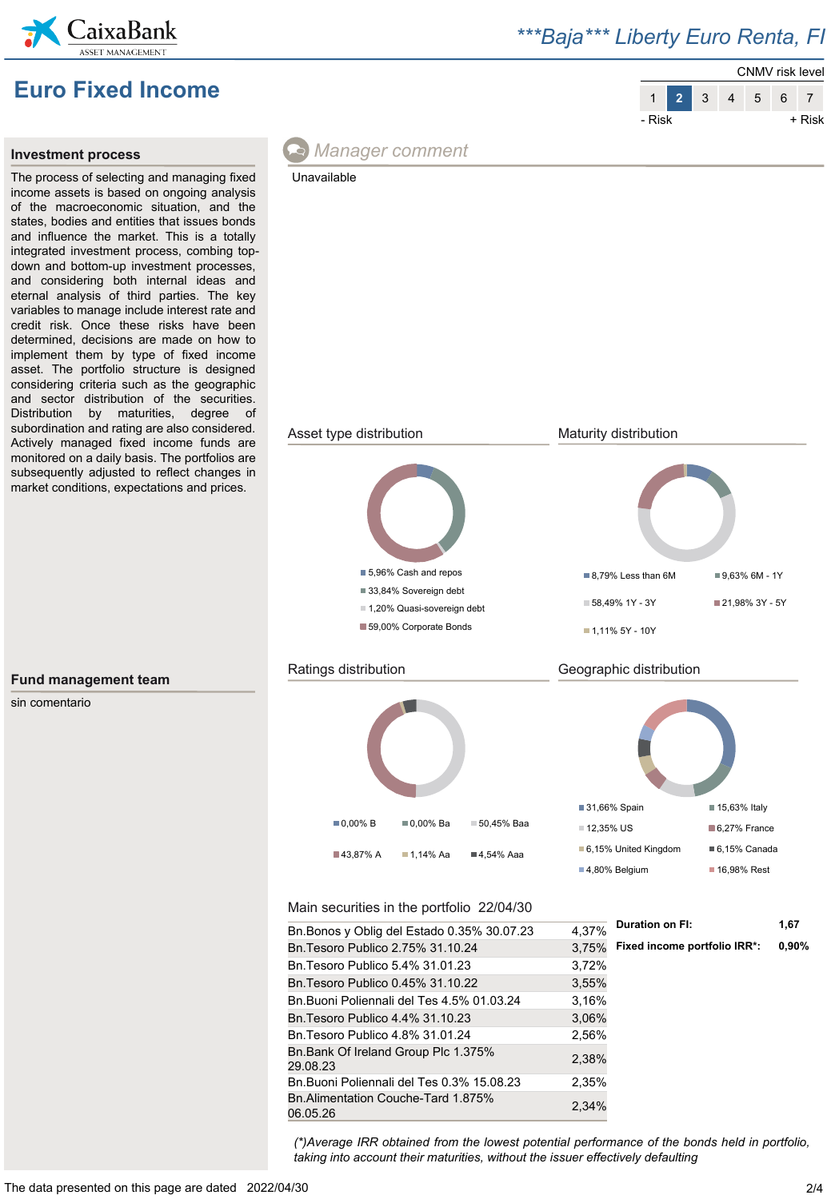

## *\*\*\*Baja\*\*\* Liberty Euro Renta, FI*





### **Investment process**

The process of selecting and managing fixed income assets is based on ongoing analysis of the macroeconomic situation, and the states, bodies and entities that issues bonds and influence the market. This is a totally integrated investment process, combing topdown and bottom-up investment processes, and considering both internal ideas and eternal analysis of third parties. The key variables to manage include interest rate and credit risk. Once these risks have been determined, decisions are made on how to implement them by type of fixed income asset. The portfolio structure is designed considering criteria such as the geographic and sector distribution of the securities. Distribution by maturities, degree of subordination and rating are also considered. Actively managed fixed income funds are monitored on a daily basis. The portfolios are subsequently adjusted to reflect changes in market conditions, expectations and prices.



### Unavailable



### **Fund management team**

sin comentario

*(\*)Average IRR obtained from the lowest potential performance of the bonds held in portfolio, taking into account their maturities, without the issuer effectively defaulting*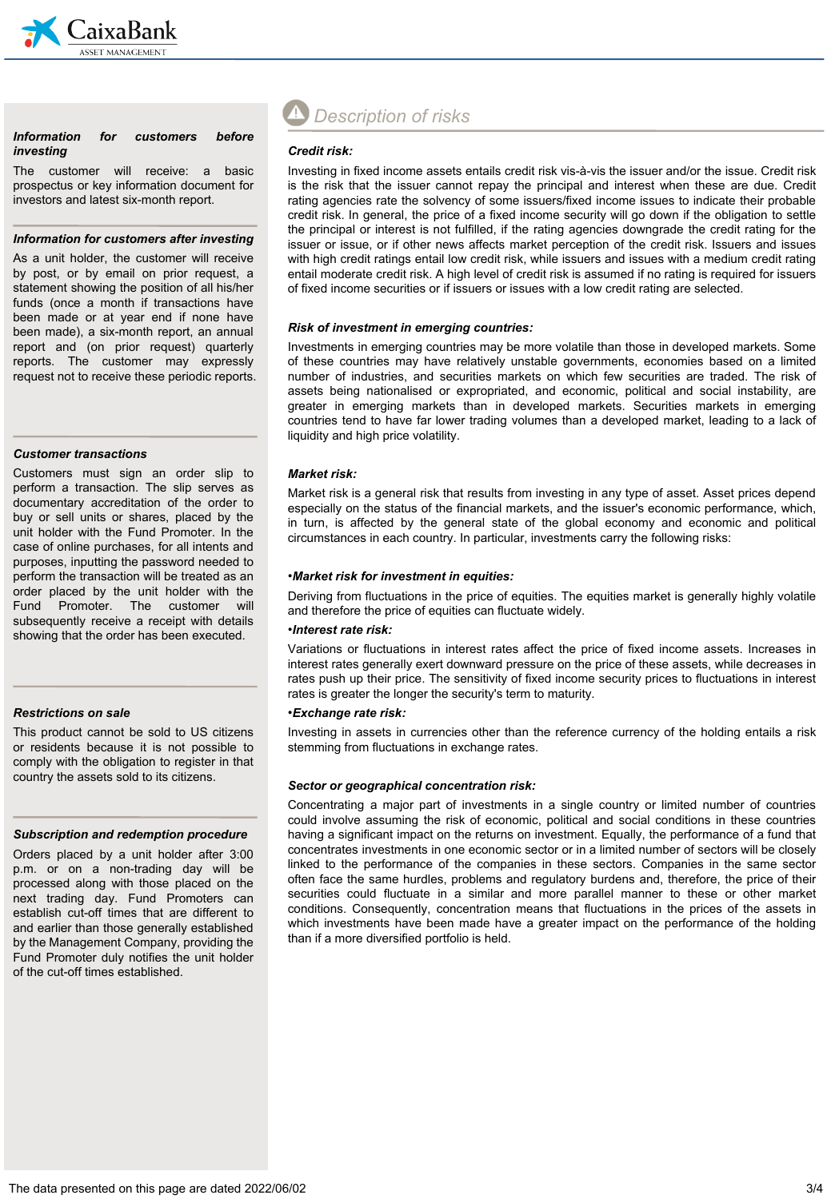

### *Information for customers before investing*

The customer will receive: a basic prospectus or key information document for investors and latest six-month report.

### *Information for customers after investing*

As a unit holder, the customer will receive by post, or by email on prior request, a statement showing the position of all his/her funds (once a month if transactions have been made or at year end if none have been made), a six-month report, an annual report and (on prior request) quarterly reports. The customer may expressly request not to receive these periodic reports.

### *Customer transactions*

Customers must sign an order slip to perform a transaction. The slip serves as documentary accreditation of the order to buy or sell units or shares, placed by the unit holder with the Fund Promoter. In the case of online purchases, for all intents and purposes, inputting the password needed to perform the transaction will be treated as an order placed by the unit holder with the Fund Promoter. The customer will subsequently receive a receipt with details showing that the order has been executed.

### *Restrictions on sale*

This product cannot be sold to US citizens or residents because it is not possible to comply with the obligation to register in that country the assets sold to its citizens.

### *Subscription and redemption procedure*

Orders placed by a unit holder after 3:00 p.m. or on a non-trading day will be processed along with those placed on the next trading day. Fund Promoters can establish cut-off times that are different to and earlier than those generally established by the Management Company, providing the Fund Promoter duly notifies the unit holder of the cut-off times established.

# *Description of risks*

### *Credit risk:*

Investing in fixed income assets entails credit risk vis-à-vis the issuer and/or the issue. Credit risk is the risk that the issuer cannot repay the principal and interest when these are due. Credit rating agencies rate the solvency of some issuers/fixed income issues to indicate their probable credit risk. In general, the price of a fixed income security will go down if the obligation to settle the principal or interest is not fulfilled, if the rating agencies downgrade the credit rating for the issuer or issue, or if other news affects market perception of the credit risk. Issuers and issues with high credit ratings entail low credit risk, while issuers and issues with a medium credit rating entail moderate credit risk. A high level of credit risk is assumed if no rating is required for issuers of fixed income securities or if issuers or issues with a low credit rating are selected.

### *Risk of investment in emerging countries:*

Investments in emerging countries may be more volatile than those in developed markets. Some of these countries may have relatively unstable governments, economies based on a limited number of industries, and securities markets on which few securities are traded. The risk of assets being nationalised or expropriated, and economic, political and social instability, are greater in emerging markets than in developed markets. Securities markets in emerging countries tend to have far lower trading volumes than a developed market, leading to a lack of liquidity and high price volatility.

### *Market risk:*

Market risk is a general risk that results from investing in any type of asset. Asset prices depend especially on the status of the financial markets, and the issuer's economic performance, which, in turn, is affected by the general state of the global economy and economic and political circumstances in each country. In particular, investments carry the following risks:

### •*Market risk for investment in equities:*

Deriving from fluctuations in the price of equities. The equities market is generally highly volatile and therefore the price of equities can fluctuate widely.

### •*Interest rate risk:*

Variations or fluctuations in interest rates affect the price of fixed income assets. Increases in interest rates generally exert downward pressure on the price of these assets, while decreases in rates push up their price. The sensitivity of fixed income security prices to fluctuations in interest rates is greater the longer the security's term to maturity.

### •*Exchange rate risk:*

Investing in assets in currencies other than the reference currency of the holding entails a risk stemming from fluctuations in exchange rates.

### *Sector or geographical concentration risk:*

Concentrating a major part of investments in a single country or limited number of countries could involve assuming the risk of economic, political and social conditions in these countries having a significant impact on the returns on investment. Equally, the performance of a fund that concentrates investments in one economic sector or in a limited number of sectors will be closely linked to the performance of the companies in these sectors. Companies in the same sector often face the same hurdles, problems and regulatory burdens and, therefore, the price of their securities could fluctuate in a similar and more parallel manner to these or other market conditions. Consequently, concentration means that fluctuations in the prices of the assets in which investments have been made have a greater impact on the performance of the holding than if a more diversified portfolio is held.